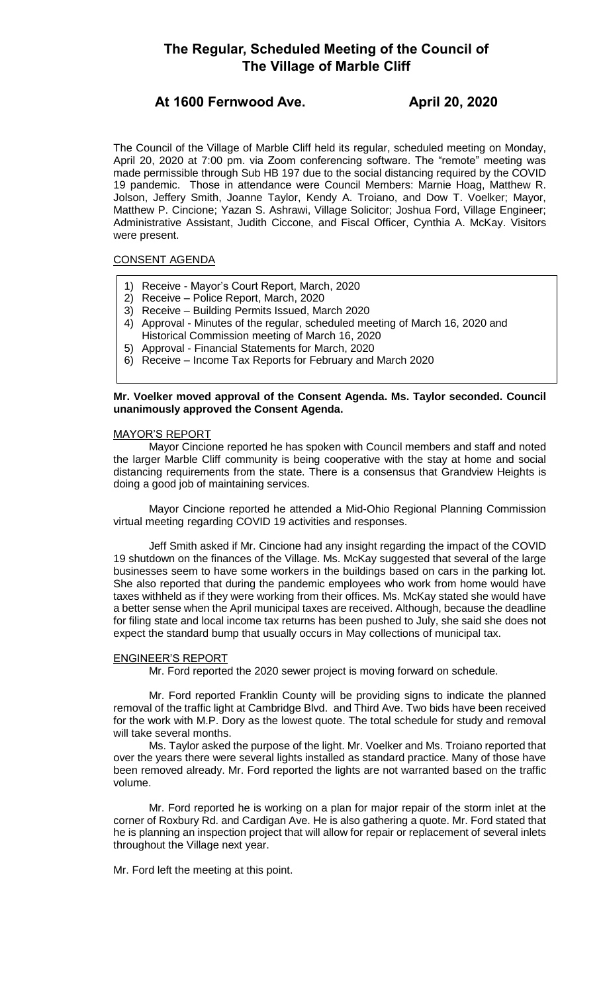# **The Regular, Scheduled Meeting of the Council of The Village of Marble Cliff**

# **At 1600 Fernwood Ave. April 20, 2020**

The Council of the Village of Marble Cliff held its regular, scheduled meeting on Monday, April 20, 2020 at 7:00 pm. via Zoom conferencing software. The "remote" meeting was made permissible through Sub HB 197 due to the social distancing required by the COVID 19 pandemic. Those in attendance were Council Members: Marnie Hoag, Matthew R. Jolson, Jeffery Smith, Joanne Taylor, Kendy A. Troiano, and Dow T. Voelker; Mayor, Matthew P. Cincione; Yazan S. Ashrawi, Village Solicitor; Joshua Ford, Village Engineer; Administrative Assistant, Judith Ciccone, and Fiscal Officer, Cynthia A. McKay. Visitors were present.

# CONSENT AGENDA

- 1) Receive Mayor's Court Report, March, 2020
- 2) Receive Police Report, March, 2020
- 3) Receive Building Permits Issued, March 2020
- 4) Approval Minutes of the regular, scheduled meeting of March 16, 2020 and
- Historical Commission meeting of March 16, 2020
- 5) Approval Financial Statements for March, 2020
- 6) Receive Income Tax Reports for February and March 2020

# **Mr. Voelker moved approval of the Consent Agenda. Ms. Taylor seconded. Council unanimously approved the Consent Agenda.**

### MAYOR'S REPORT

Mayor Cincione reported he has spoken with Council members and staff and noted the larger Marble Cliff community is being cooperative with the stay at home and social distancing requirements from the state. There is a consensus that Grandview Heights is doing a good job of maintaining services.

Mayor Cincione reported he attended a Mid-Ohio Regional Planning Commission virtual meeting regarding COVID 19 activities and responses.

Jeff Smith asked if Mr. Cincione had any insight regarding the impact of the COVID 19 shutdown on the finances of the Village. Ms. McKay suggested that several of the large businesses seem to have some workers in the buildings based on cars in the parking lot. She also reported that during the pandemic employees who work from home would have taxes withheld as if they were working from their offices. Ms. McKay stated she would have a better sense when the April municipal taxes are received. Although, because the deadline for filing state and local income tax returns has been pushed to July, she said she does not expect the standard bump that usually occurs in May collections of municipal tax.

# ENGINEER'S REPORT

Mr. Ford reported the 2020 sewer project is moving forward on schedule.

Mr. Ford reported Franklin County will be providing signs to indicate the planned removal of the traffic light at Cambridge Blvd. and Third Ave. Two bids have been received for the work with M.P. Dory as the lowest quote. The total schedule for study and removal will take several months.

Ms. Taylor asked the purpose of the light. Mr. Voelker and Ms. Troiano reported that over the years there were several lights installed as standard practice. Many of those have been removed already. Mr. Ford reported the lights are not warranted based on the traffic volume.

Mr. Ford reported he is working on a plan for major repair of the storm inlet at the corner of Roxbury Rd. and Cardigan Ave. He is also gathering a quote. Mr. Ford stated that he is planning an inspection project that will allow for repair or replacement of several inlets throughout the Village next year.

Mr. Ford left the meeting at this point.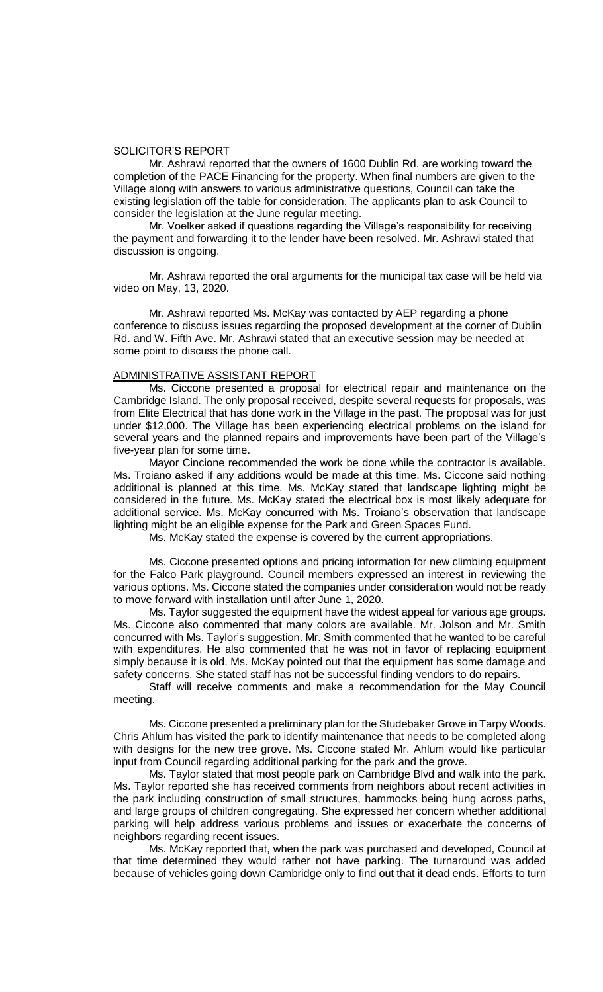#### SOLICITOR'S REPORT

Mr. Ashrawi reported that the owners of 1600 Dublin Rd. are working toward the completion of the PACE Financing for the property. When final numbers are given to the Village along with answers to various administrative questions, Council can take the existing legislation off the table for consideration. The applicants plan to ask Council to consider the legislation at the June regular meeting.

Mr. Voelker asked if questions regarding the Village's responsibility for receiving the payment and forwarding it to the lender have been resolved. Mr. Ashrawi stated that discussion is ongoing.

Mr. Ashrawi reported the oral arguments for the municipal tax case will be held via video on May, 13, 2020.

Mr. Ashrawi reported Ms. McKay was contacted by AEP regarding a phone conference to discuss issues regarding the proposed development at the corner of Dublin Rd. and W. Fifth Ave. Mr. Ashrawi stated that an executive session may be needed at some point to discuss the phone call.

#### ADMINISTRATIVE ASSISTANT REPORT

Ms. Ciccone presented a proposal for electrical repair and maintenance on the Cambridge Island. The only proposal received, despite several requests for proposals, was from Elite Electrical that has done work in the Village in the past. The proposal was for just under \$12,000. The Village has been experiencing electrical problems on the island for several years and the planned repairs and improvements have been part of the Village's five-year plan for some time.

Mayor Cincione recommended the work be done while the contractor is available. Ms. Troiano asked if any additions would be made at this time. Ms. Ciccone said nothing additional is planned at this time. Ms. McKay stated that landscape lighting might be considered in the future. Ms. McKay stated the electrical box is most likely adequate for additional service. Ms. McKay concurred with Ms. Troiano's observation that landscape lighting might be an eligible expense for the Park and Green Spaces Fund.

Ms. McKay stated the expense is covered by the current appropriations.

Ms. Ciccone presented options and pricing information for new climbing equipment for the Falco Park playground. Council members expressed an interest in reviewing the various options. Ms. Ciccone stated the companies under consideration would not be ready to move forward with installation until after June 1, 2020.

Ms. Taylor suggested the equipment have the widest appeal for various age groups. Ms. Ciccone also commented that many colors are available. Mr. Jolson and Mr. Smith concurred with Ms. Taylor's suggestion. Mr. Smith commented that he wanted to be careful with expenditures. He also commented that he was not in favor of replacing equipment simply because it is old. Ms. McKay pointed out that the equipment has some damage and safety concerns. She stated staff has not be successful finding vendors to do repairs.

Staff will receive comments and make a recommendation for the May Council meeting.

Ms. Ciccone presented a preliminary plan for the Studebaker Grove in Tarpy Woods. Chris Ahlum has visited the park to identify maintenance that needs to be completed along with designs for the new tree grove. Ms. Ciccone stated Mr. Ahlum would like particular input from Council regarding additional parking for the park and the grove.

Ms. Taylor stated that most people park on Cambridge Blvd and walk into the park. Ms. Taylor reported she has received comments from neighbors about recent activities in the park including construction of small structures, hammocks being hung across paths, and large groups of children congregating. She expressed her concern whether additional parking will help address various problems and issues or exacerbate the concerns of neighbors regarding recent issues.

Ms. McKay reported that, when the park was purchased and developed, Council at that time determined they would rather not have parking. The turnaround was added because of vehicles going down Cambridge only to find out that it dead ends. Efforts to turn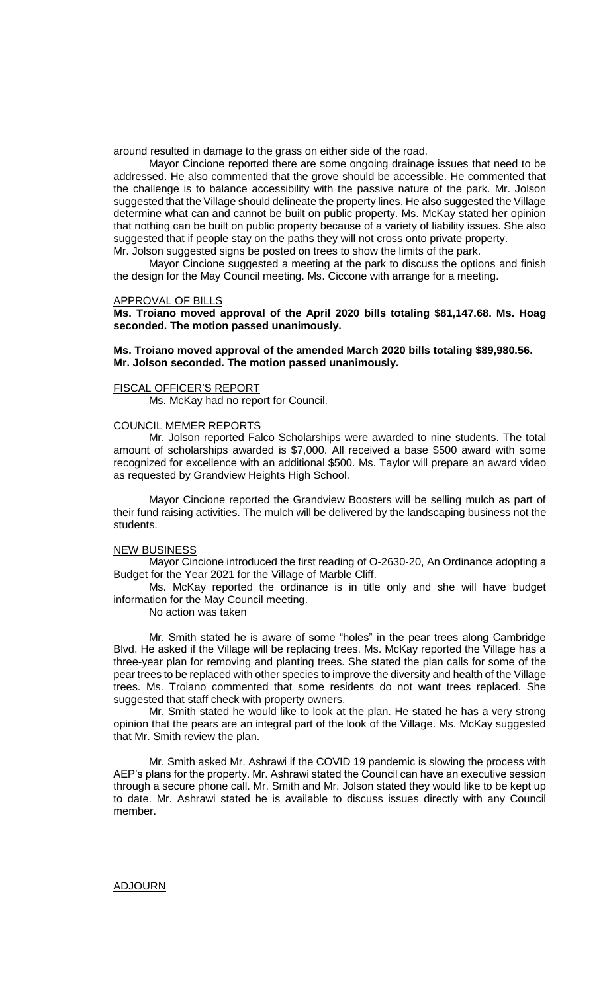around resulted in damage to the grass on either side of the road.

Mayor Cincione reported there are some ongoing drainage issues that need to be addressed. He also commented that the grove should be accessible. He commented that the challenge is to balance accessibility with the passive nature of the park. Mr. Jolson suggested that the Village should delineate the property lines. He also suggested the Village determine what can and cannot be built on public property. Ms. McKay stated her opinion that nothing can be built on public property because of a variety of liability issues. She also suggested that if people stay on the paths they will not cross onto private property. Mr. Jolson suggested signs be posted on trees to show the limits of the park.

Mayor Cincione suggested a meeting at the park to discuss the options and finish the design for the May Council meeting. Ms. Ciccone with arrange for a meeting.

#### APPROVAL OF BILLS

**Ms. Troiano moved approval of the April 2020 bills totaling \$81,147.68. Ms. Hoag seconded. The motion passed unanimously.**

#### **Ms. Troiano moved approval of the amended March 2020 bills totaling \$89,980.56. Mr. Jolson seconded. The motion passed unanimously.**

#### FISCAL OFFICER'S REPORT

Ms. McKay had no report for Council.

# COUNCIL MEMER REPORTS

Mr. Jolson reported Falco Scholarships were awarded to nine students. The total amount of scholarships awarded is \$7,000. All received a base \$500 award with some recognized for excellence with an additional \$500. Ms. Taylor will prepare an award video as requested by Grandview Heights High School.

Mayor Cincione reported the Grandview Boosters will be selling mulch as part of their fund raising activities. The mulch will be delivered by the landscaping business not the students.

#### NEW BUSINESS

Mayor Cincione introduced the first reading of O-2630-20, An Ordinance adopting a Budget for the Year 2021 for the Village of Marble Cliff.

Ms. McKay reported the ordinance is in title only and she will have budget information for the May Council meeting.

No action was taken

Mr. Smith stated he is aware of some "holes" in the pear trees along Cambridge Blvd. He asked if the Village will be replacing trees. Ms. McKay reported the Village has a three-year plan for removing and planting trees. She stated the plan calls for some of the pear trees to be replaced with other species to improve the diversity and health of the Village trees. Ms. Troiano commented that some residents do not want trees replaced. She suggested that staff check with property owners.

Mr. Smith stated he would like to look at the plan. He stated he has a very strong opinion that the pears are an integral part of the look of the Village. Ms. McKay suggested that Mr. Smith review the plan.

Mr. Smith asked Mr. Ashrawi if the COVID 19 pandemic is slowing the process with AEP's plans for the property. Mr. Ashrawi stated the Council can have an executive session through a secure phone call. Mr. Smith and Mr. Jolson stated they would like to be kept up to date. Mr. Ashrawi stated he is available to discuss issues directly with any Council member.

#### ADJOURN